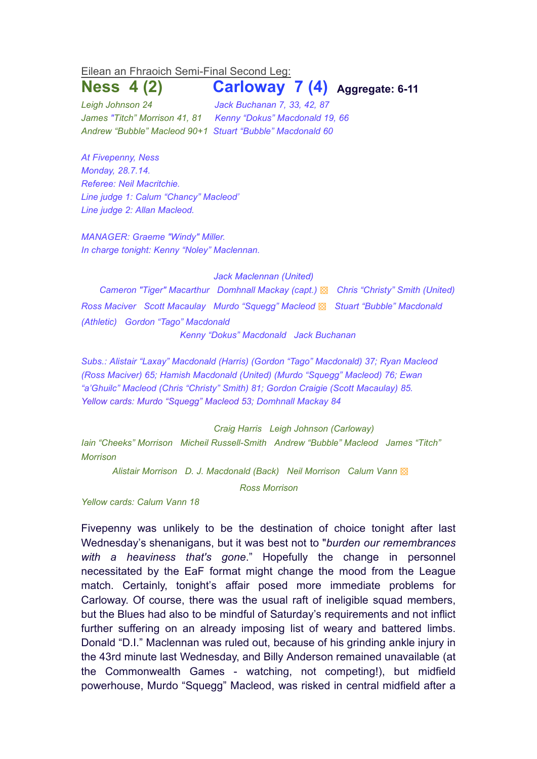## Eilean an Fhraoich Semi-Final Second Leg:

## **Ness 4 (2) Carloway 7 (4) Aggregate: 6-11**

*Leigh Johnson 24 Jack Buchanan 7, 33, 42, 87 James "Titch" Morrison 41, 81 Kenny "Dokus" Macdonald 19, 66 Andrew "Bubble" Macleod 90+1 Stuart "Bubble" Macdonald 60*

*At Fivepenny, Ness Monday, 28.7.14. Referee: Neil Macritchie. Line judge 1: Calum "Chancy" Macleod' Line judge 2: Allan Macleod.*

*MANAGER: Graeme "Windy" Miller. In charge tonight: Kenny "Noley" Maclennan.*

*Jack Maclennan (United)*

*Cameron "Tiger" Macarthur Domhnall Mackay (capt.)* ▩ *Chris "Christy" Smith (United) Ross Maciver Scott Macaulay Murdo "Squegg" Macleod* ▩ *Stuart "Bubble" Macdonald (Athletic) Gordon "Tago" Macdonald*

*Kenny "Dokus" Macdonald Jack Buchanan* 

*Subs.: Alistair "Laxay" Macdonald (Harris) (Gordon "Tago" Macdonald) 37; Ryan Macleod (Ross Maciver) 65; Hamish Macdonald (United) (Murdo "Squegg" Macleod) 76; Ewan "a'Ghuilc" Macleod (Chris "Christy" Smith) 81; Gordon Craigie (Scott Macaulay) 85. Yellow cards: Murdo "Squegg" Macleod 53; Domhnall Mackay 84*

*Craig Harris Leigh Johnson (Carloway)*

*Iain "Cheeks" Morrison Micheil Russell-Smith Andrew "Bubble" Macleod James "Titch" Morrison*

*Alistair Morrison D. J. Macdonald (Back) Neil Morrison Calum Vann* ▩

*Ross Morrison*

*Yellow cards: Calum Vann 18*

Fivepenny was unlikely to be the destination of choice tonight after last Wednesday's shenanigans, but it was best not to "*burden our remembrances with a heaviness that's gone*." Hopefully the change in personnel necessitated by the EaF format might change the mood from the League match. Certainly, tonight's affair posed more immediate problems for Carloway. Of course, there was the usual raft of ineligible squad members, but the Blues had also to be mindful of Saturday's requirements and not inflict further suffering on an already imposing list of weary and battered limbs. Donald "D.I." Maclennan was ruled out, because of his grinding ankle injury in the 43rd minute last Wednesday, and Billy Anderson remained unavailable (at the Commonwealth Games - watching, not competing!), but midfield powerhouse, Murdo "Squegg" Macleod, was risked in central midfield after a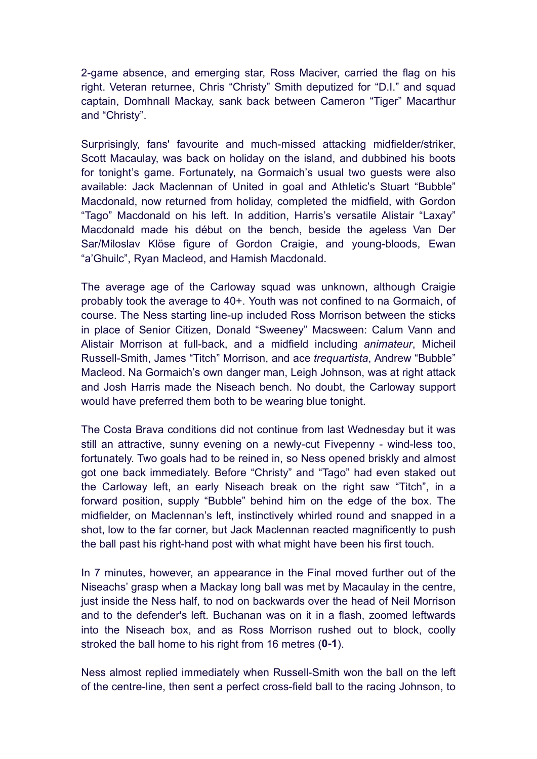2-game absence, and emerging star, Ross Maciver, carried the flag on his right. Veteran returnee, Chris "Christy" Smith deputized for "D.I." and squad captain, Domhnall Mackay, sank back between Cameron "Tiger" Macarthur and "Christy".

Surprisingly, fans' favourite and much-missed attacking midfielder/striker, Scott Macaulay, was back on holiday on the island, and dubbined his boots for tonight's game. Fortunately, na Gormaich's usual two guests were also available: Jack Maclennan of United in goal and Athletic's Stuart "Bubble" Macdonald, now returned from holiday, completed the midfield, with Gordon "Tago" Macdonald on his left. In addition, Harris's versatile Alistair "Laxay" Macdonald made his début on the bench, beside the ageless Van Der Sar/Miloslav Klöse figure of Gordon Craigie, and young-bloods, Ewan "a'Ghuilc", Ryan Macleod, and Hamish Macdonald.

The average age of the Carloway squad was unknown, although Craigie probably took the average to 40+. Youth was not confined to na Gormaich, of course. The Ness starting line-up included Ross Morrison between the sticks in place of Senior Citizen, Donald "Sweeney" Macsween: Calum Vann and Alistair Morrison at full-back, and a midfield including *animateur*, Micheil Russell-Smith, James "Titch" Morrison, and ace *trequartista*, Andrew "Bubble" Macleod. Na Gormaich's own danger man, Leigh Johnson, was at right attack and Josh Harris made the Niseach bench. No doubt, the Carloway support would have preferred them both to be wearing blue tonight.

The Costa Brava conditions did not continue from last Wednesday but it was still an attractive, sunny evening on a newly-cut Fivepenny - wind-less too, fortunately. Two goals had to be reined in, so Ness opened briskly and almost got one back immediately. Before "Christy" and "Tago" had even staked out the Carloway left, an early Niseach break on the right saw "Titch", in a forward position, supply "Bubble" behind him on the edge of the box. The midfielder, on Maclennan's left, instinctively whirled round and snapped in a shot, low to the far corner, but Jack Maclennan reacted magnificently to push the ball past his right-hand post with what might have been his first touch.

In 7 minutes, however, an appearance in the Final moved further out of the Niseachs' grasp when a Mackay long ball was met by Macaulay in the centre, just inside the Ness half, to nod on backwards over the head of Neil Morrison and to the defender's left. Buchanan was on it in a flash, zoomed leftwards into the Niseach box, and as Ross Morrison rushed out to block, coolly stroked the ball home to his right from 16 metres (**0-1**).

Ness almost replied immediately when Russell-Smith won the ball on the left of the centre-line, then sent a perfect cross-field ball to the racing Johnson, to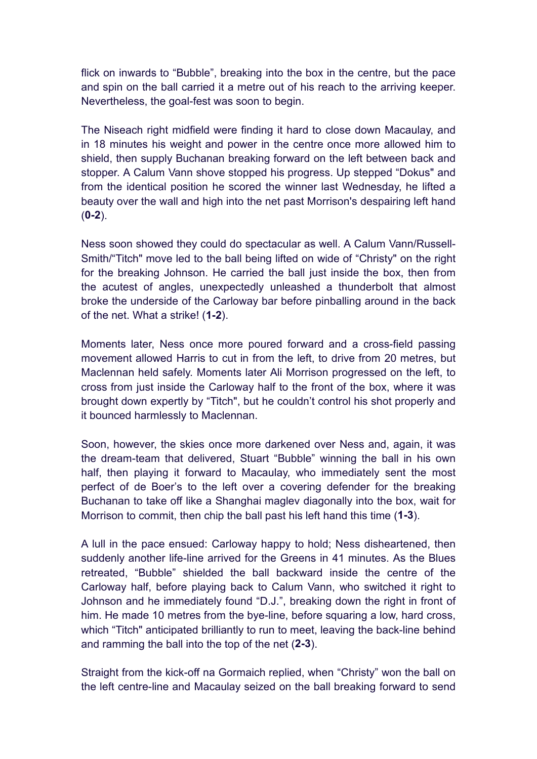flick on inwards to "Bubble", breaking into the box in the centre, but the pace and spin on the ball carried it a metre out of his reach to the arriving keeper. Nevertheless, the goal-fest was soon to begin.

The Niseach right midfield were finding it hard to close down Macaulay, and in 18 minutes his weight and power in the centre once more allowed him to shield, then supply Buchanan breaking forward on the left between back and stopper. A Calum Vann shove stopped his progress. Up stepped "Dokus" and from the identical position he scored the winner last Wednesday, he lifted a beauty over the wall and high into the net past Morrison's despairing left hand (**0-2**).

Ness soon showed they could do spectacular as well. A Calum Vann/Russell-Smith/"Titch" move led to the ball being lifted on wide of "Christy" on the right for the breaking Johnson. He carried the ball just inside the box, then from the acutest of angles, unexpectedly unleashed a thunderbolt that almost broke the underside of the Carloway bar before pinballing around in the back of the net. What a strike! (**1-2**).

Moments later, Ness once more poured forward and a cross-field passing movement allowed Harris to cut in from the left, to drive from 20 metres, but Maclennan held safely. Moments later Ali Morrison progressed on the left, to cross from just inside the Carloway half to the front of the box, where it was brought down expertly by "Titch", but he couldn't control his shot properly and it bounced harmlessly to Maclennan.

Soon, however, the skies once more darkened over Ness and, again, it was the dream-team that delivered, Stuart "Bubble" winning the ball in his own half, then playing it forward to Macaulay, who immediately sent the most perfect of de Boer's to the left over a covering defender for the breaking Buchanan to take off like a Shanghai maglev diagonally into the box, wait for Morrison to commit, then chip the ball past his left hand this time (**1-3**).

A lull in the pace ensued: Carloway happy to hold; Ness disheartened, then suddenly another life-line arrived for the Greens in 41 minutes. As the Blues retreated, "Bubble" shielded the ball backward inside the centre of the Carloway half, before playing back to Calum Vann, who switched it right to Johnson and he immediately found "D.J.", breaking down the right in front of him. He made 10 metres from the bye-line, before squaring a low, hard cross, which "Titch" anticipated brilliantly to run to meet, leaving the back-line behind and ramming the ball into the top of the net (**2-3**).

Straight from the kick-off na Gormaich replied, when "Christy" won the ball on the left centre-line and Macaulay seized on the ball breaking forward to send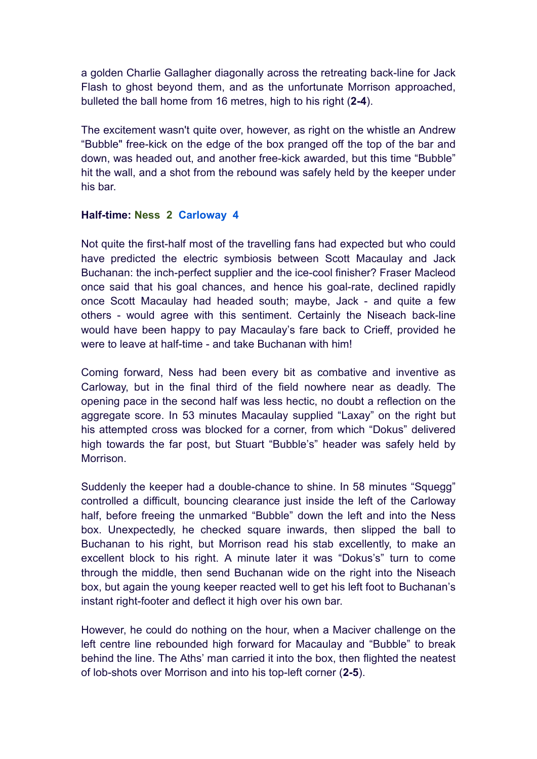a golden Charlie Gallagher diagonally across the retreating back-line for Jack Flash to ghost beyond them, and as the unfortunate Morrison approached, bulleted the ball home from 16 metres, high to his right (**2-4**).

The excitement wasn't quite over, however, as right on the whistle an Andrew "Bubble" free-kick on the edge of the box pranged off the top of the bar and down, was headed out, and another free-kick awarded, but this time "Bubble" hit the wall, and a shot from the rebound was safely held by the keeper under his bar.

## **Half-time: Ness 2 Carloway 4**

Not quite the first-half most of the travelling fans had expected but who could have predicted the electric symbiosis between Scott Macaulay and Jack Buchanan: the inch-perfect supplier and the ice-cool finisher? Fraser Macleod once said that his goal chances, and hence his goal-rate, declined rapidly once Scott Macaulay had headed south; maybe, Jack - and quite a few others - would agree with this sentiment. Certainly the Niseach back-line would have been happy to pay Macaulay's fare back to Crieff, provided he were to leave at half-time - and take Buchanan with him!

Coming forward, Ness had been every bit as combative and inventive as Carloway, but in the final third of the field nowhere near as deadly. The opening pace in the second half was less hectic, no doubt a reflection on the aggregate score. In 53 minutes Macaulay supplied "Laxay" on the right but his attempted cross was blocked for a corner, from which "Dokus" delivered high towards the far post, but Stuart "Bubble's" header was safely held by Morrison.

Suddenly the keeper had a double-chance to shine. In 58 minutes "Squegg" controlled a difficult, bouncing clearance just inside the left of the Carloway half, before freeing the unmarked "Bubble" down the left and into the Ness box. Unexpectedly, he checked square inwards, then slipped the ball to Buchanan to his right, but Morrison read his stab excellently, to make an excellent block to his right. A minute later it was "Dokus's" turn to come through the middle, then send Buchanan wide on the right into the Niseach box, but again the young keeper reacted well to get his left foot to Buchanan's instant right-footer and deflect it high over his own bar.

However, he could do nothing on the hour, when a Maciver challenge on the left centre line rebounded high forward for Macaulay and "Bubble" to break behind the line. The Aths' man carried it into the box, then flighted the neatest of lob-shots over Morrison and into his top-left corner (**2-5**).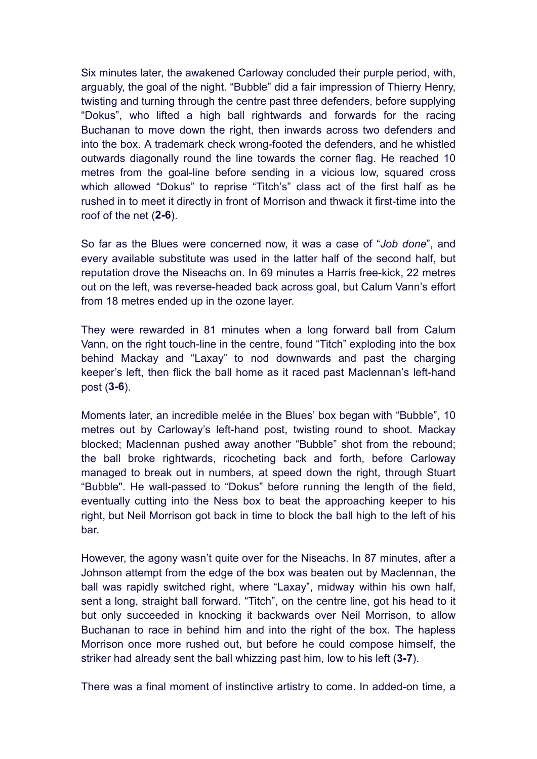Six minutes later, the awakened Carloway concluded their purple period, with, arguably, the goal of the night. "Bubble" did a fair impression of Thierry Henry, twisting and turning through the centre past three defenders, before supplying "Dokus", who lifted a high ball rightwards and forwards for the racing Buchanan to move down the right, then inwards across two defenders and into the box. A trademark check wrong-footed the defenders, and he whistled outwards diagonally round the line towards the corner flag. He reached 10 metres from the goal-line before sending in a vicious low, squared cross which allowed "Dokus" to reprise "Titch's" class act of the first half as he rushed in to meet it directly in front of Morrison and thwack it first-time into the roof of the net (**2-6**).

So far as the Blues were concerned now, it was a case of "*Job done*", and every available substitute was used in the latter half of the second half, but reputation drove the Niseachs on. In 69 minutes a Harris free-kick, 22 metres out on the left, was reverse-headed back across goal, but Calum Vann's effort from 18 metres ended up in the ozone layer.

They were rewarded in 81 minutes when a long forward ball from Calum Vann, on the right touch-line in the centre, found "Titch" exploding into the box behind Mackay and "Laxay" to nod downwards and past the charging keeper's left, then flick the ball home as it raced past Maclennan's left-hand post (**3-6**).

Moments later, an incredible melée in the Blues' box began with "Bubble", 10 metres out by Carloway's left-hand post, twisting round to shoot. Mackay blocked; Maclennan pushed away another "Bubble" shot from the rebound; the ball broke rightwards, ricocheting back and forth, before Carloway managed to break out in numbers, at speed down the right, through Stuart "Bubble". He wall-passed to "Dokus" before running the length of the field, eventually cutting into the Ness box to beat the approaching keeper to his right, but Neil Morrison got back in time to block the ball high to the left of his bar.

However, the agony wasn't quite over for the Niseachs. In 87 minutes, after a Johnson attempt from the edge of the box was beaten out by Maclennan, the ball was rapidly switched right, where "Laxay", midway within his own half, sent a long, straight ball forward. "Titch", on the centre line, got his head to it but only succeeded in knocking it backwards over Neil Morrison, to allow Buchanan to race in behind him and into the right of the box. The hapless Morrison once more rushed out, but before he could compose himself, the striker had already sent the ball whizzing past him, low to his left (**3-7**).

There was a final moment of instinctive artistry to come. In added-on time, a